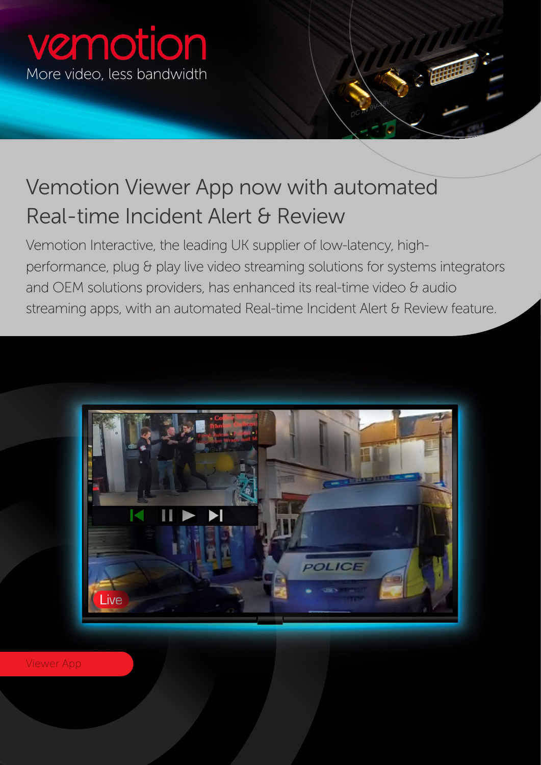## vemotion More video, less bandwidth

## Vemotion Viewer App now with automated Real-time Incident Alert & Review

Vemotion Interactive, the leading UK supplier of low-latency, highperformance, plug & play live video streaming solutions for systems integrators and OEM solutions providers, has enhanced its real-time video & audio streaming apps, with an automated Real-time Incident Alert & Review feature.



Viewer App